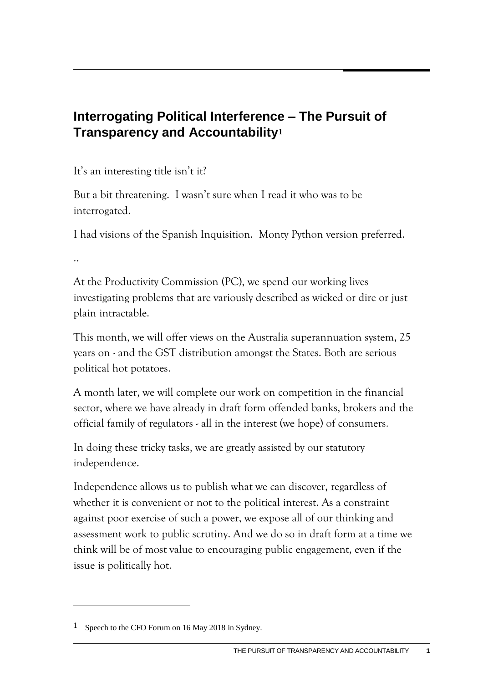## **Interrogating Political Interference – The Pursuit of Transparency and Accountability<sup>1</sup>**

It's an interesting title isn't it?

But a bit threatening. I wasn't sure when I read it who was to be interrogated.

I had visions of the Spanish Inquisition. Monty Python version preferred.

..

At the Productivity Commission (PC), we spend our working lives investigating problems that are variously described as wicked or dire or just plain intractable.

This month, we will offer views on the Australia superannuation system, 25 years on - and the GST distribution amongst the States. Both are serious political hot potatoes.

A month later, we will complete our work on competition in the financial sector, where we have already in draft form offended banks, brokers and the official family of regulators - all in the interest (we hope) of consumers.

In doing these tricky tasks, we are greatly assisted by our statutory independence.

Independence allows us to publish what we can discover, regardless of whether it is convenient or not to the political interest. As a constraint against poor exercise of such a power, we expose all of our thinking and assessment work to public scrutiny. And we do so in draft form at a time we think will be of most value to encouraging public engagement, even if the issue is politically hot.

<sup>1</sup> Speech to the CFO Forum on 16 May 2018 in Sydney.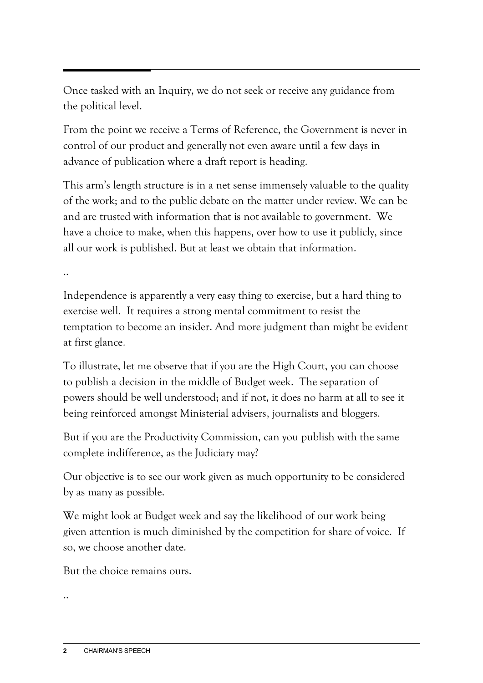Once tasked with an Inquiry, we do not seek or receive any guidance from the political level.

From the point we receive a Terms of Reference, the Government is never in control of our product and generally not even aware until a few days in advance of publication where a draft report is heading.

This arm's length structure is in a net sense immensely valuable to the quality of the work; and to the public debate on the matter under review. We can be and are trusted with information that is not available to government. We have a choice to make, when this happens, over how to use it publicly, since all our work is published. But at least we obtain that information.

..

Independence is apparently a very easy thing to exercise, but a hard thing to exercise well. It requires a strong mental commitment to resist the temptation to become an insider. And more judgment than might be evident at first glance.

To illustrate, let me observe that if you are the High Court, you can choose to publish a decision in the middle of Budget week. The separation of powers should be well understood; and if not, it does no harm at all to see it being reinforced amongst Ministerial advisers, journalists and bloggers.

But if you are the Productivity Commission, can you publish with the same complete indifference, as the Judiciary may?

Our objective is to see our work given as much opportunity to be considered by as many as possible.

We might look at Budget week and say the likelihood of our work being given attention is much diminished by the competition for share of voice. If so, we choose another date.

But the choice remains ours.

..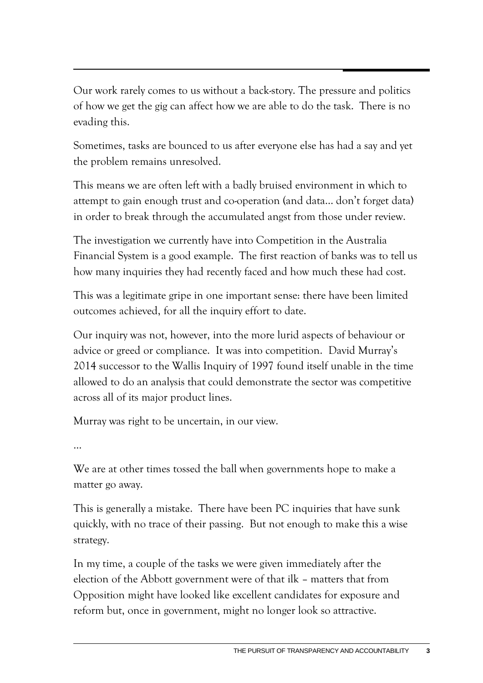Our work rarely comes to us without a back-story. The pressure and politics of how we get the gig can affect how we are able to do the task. There is no evading this.

Sometimes, tasks are bounced to us after everyone else has had a say and yet the problem remains unresolved.

This means we are often left with a badly bruised environment in which to attempt to gain enough trust and co-operation (and data… don't forget data) in order to break through the accumulated angst from those under review.

The investigation we currently have into Competition in the Australia Financial System is a good example. The first reaction of banks was to tell us how many inquiries they had recently faced and how much these had cost.

This was a legitimate gripe in one important sense: there have been limited outcomes achieved, for all the inquiry effort to date.

Our inquiry was not, however, into the more lurid aspects of behaviour or advice or greed or compliance. It was into competition. David Murray's 2014 successor to the Wallis Inquiry of 1997 found itself unable in the time allowed to do an analysis that could demonstrate the sector was competitive across all of its major product lines.

Murray was right to be uncertain, in our view.

…

We are at other times tossed the ball when governments hope to make a matter go away.

This is generally a mistake. There have been PC inquiries that have sunk quickly, with no trace of their passing. But not enough to make this a wise strategy.

In my time, a couple of the tasks we were given immediately after the election of the Abbott government were of that ilk – matters that from Opposition might have looked like excellent candidates for exposure and reform but, once in government, might no longer look so attractive.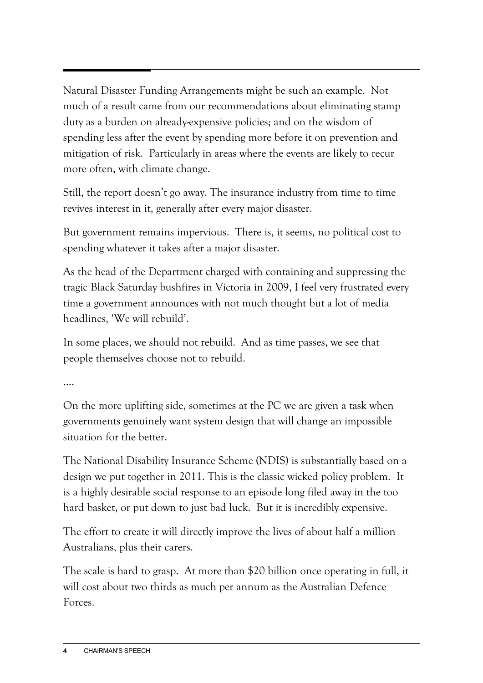Natural Disaster Funding Arrangements might be such an example. Not much of a result came from our recommendations about eliminating stamp duty as a burden on already-expensive policies; and on the wisdom of spending less after the event by spending more before it on prevention and mitigation of risk. Particularly in areas where the events are likely to recur more often, with climate change.

Still, the report doesn't go away. The insurance industry from time to time revives interest in it, generally after every major disaster.

But government remains impervious. There is, it seems, no political cost to spending whatever it takes after a major disaster.

As the head of the Department charged with containing and suppressing the tragic Black Saturday bushfires in Victoria in 2009, I feel very frustrated every time a government announces with not much thought but a lot of media headlines, 'We will rebuild'.

In some places, we should not rebuild. And as time passes, we see that people themselves choose not to rebuild.

....

On the more uplifting side, sometimes at the PC we are given a task when governments genuinely want system design that will change an impossible situation for the better.

The National Disability Insurance Scheme (NDIS) is substantially based on a design we put together in 2011. This is the classic wicked policy problem. It is a highly desirable social response to an episode long filed away in the too hard basket, or put down to just bad luck. But it is incredibly expensive.

The effort to create it will directly improve the lives of about half a million Australians, plus their carers.

The scale is hard to grasp. At more than \$20 billion once operating in full, it will cost about two thirds as much per annum as the Australian Defence Forces.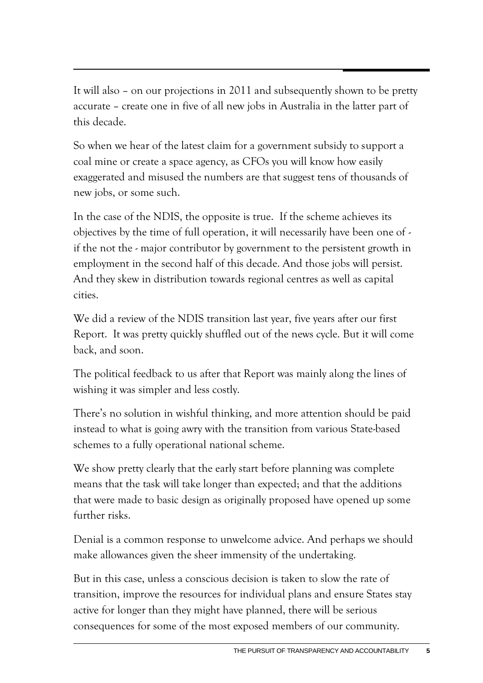It will also – on our projections in 2011 and subsequently shown to be pretty accurate – create one in five of all new jobs in Australia in the latter part of this decade.

So when we hear of the latest claim for a government subsidy to support a coal mine or create a space agency, as CFOs you will know how easily exaggerated and misused the numbers are that suggest tens of thousands of new jobs, or some such.

In the case of the NDIS, the opposite is true. If the scheme achieves its objectives by the time of full operation, it will necessarily have been one of if the not the - major contributor by government to the persistent growth in employment in the second half of this decade. And those jobs will persist. And they skew in distribution towards regional centres as well as capital cities.

We did a review of the NDIS transition last year, five years after our first Report. It was pretty quickly shuffled out of the news cycle. But it will come back, and soon.

The political feedback to us after that Report was mainly along the lines of wishing it was simpler and less costly.

There's no solution in wishful thinking, and more attention should be paid instead to what is going awry with the transition from various State-based schemes to a fully operational national scheme.

We show pretty clearly that the early start before planning was complete means that the task will take longer than expected; and that the additions that were made to basic design as originally proposed have opened up some further risks.

Denial is a common response to unwelcome advice. And perhaps we should make allowances given the sheer immensity of the undertaking.

But in this case, unless a conscious decision is taken to slow the rate of transition, improve the resources for individual plans and ensure States stay active for longer than they might have planned, there will be serious consequences for some of the most exposed members of our community.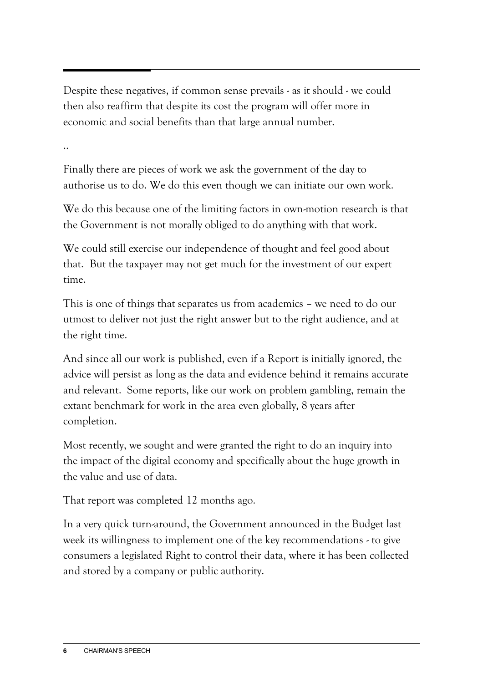Despite these negatives, if common sense prevails - as it should - we could then also reaffirm that despite its cost the program will offer more in economic and social benefits than that large annual number.

..

Finally there are pieces of work we ask the government of the day to authorise us to do. We do this even though we can initiate our own work.

We do this because one of the limiting factors in own-motion research is that the Government is not morally obliged to do anything with that work.

We could still exercise our independence of thought and feel good about that. But the taxpayer may not get much for the investment of our expert time.

This is one of things that separates us from academics – we need to do our utmost to deliver not just the right answer but to the right audience, and at the right time.

And since all our work is published, even if a Report is initially ignored, the advice will persist as long as the data and evidence behind it remains accurate and relevant. Some reports, like our work on problem gambling, remain the extant benchmark for work in the area even globally, 8 years after completion.

Most recently, we sought and were granted the right to do an inquiry into the impact of the digital economy and specifically about the huge growth in the value and use of data.

That report was completed 12 months ago.

In a very quick turn-around, the Government announced in the Budget last week its willingness to implement one of the key recommendations - to give consumers a legislated Right to control their data, where it has been collected and stored by a company or public authority.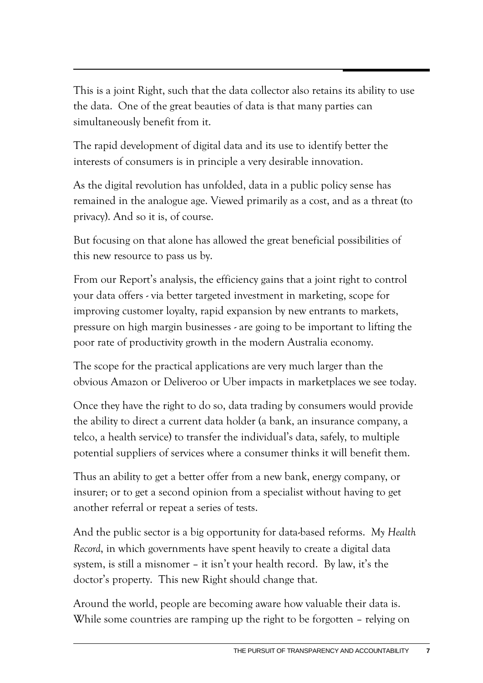This is a joint Right, such that the data collector also retains its ability to use the data. One of the great beauties of data is that many parties can simultaneously benefit from it.

The rapid development of digital data and its use to identify better the interests of consumers is in principle a very desirable innovation.

As the digital revolution has unfolded, data in a public policy sense has remained in the analogue age. Viewed primarily as a cost, and as a threat (to privacy). And so it is, of course.

But focusing on that alone has allowed the great beneficial possibilities of this new resource to pass us by.

From our Report's analysis, the efficiency gains that a joint right to control your data offers - via better targeted investment in marketing, scope for improving customer loyalty, rapid expansion by new entrants to markets, pressure on high margin businesses - are going to be important to lifting the poor rate of productivity growth in the modern Australia economy.

The scope for the practical applications are very much larger than the obvious Amazon or Deliveroo or Uber impacts in marketplaces we see today.

Once they have the right to do so, data trading by consumers would provide the ability to direct a current data holder (a bank, an insurance company, a telco, a health service) to transfer the individual's data, safely, to multiple potential suppliers of services where a consumer thinks it will benefit them.

Thus an ability to get a better offer from a new bank, energy company, or insurer; or to get a second opinion from a specialist without having to get another referral or repeat a series of tests.

And the public sector is a big opportunity for data-based reforms. *My Health Record*, in which governments have spent heavily to create a digital data system, is still a misnomer – it isn't your health record. By law, it's the doctor's property. This new Right should change that.

Around the world, people are becoming aware how valuable their data is. While some countries are ramping up the right to be forgotten – relying on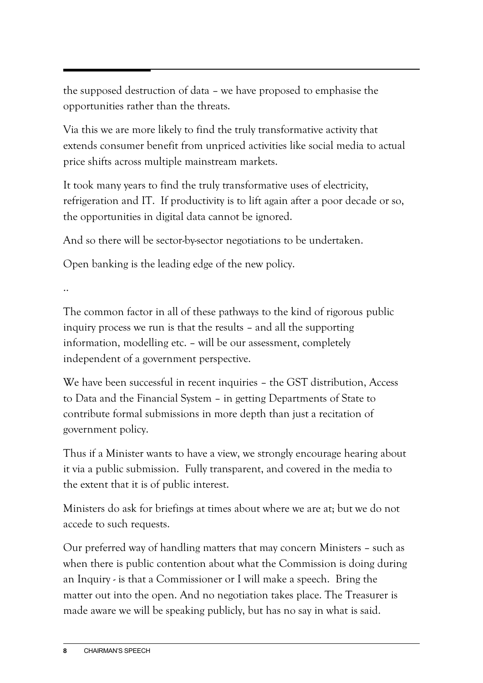the supposed destruction of data – we have proposed to emphasise the opportunities rather than the threats.

Via this we are more likely to find the truly transformative activity that extends consumer benefit from unpriced activities like social media to actual price shifts across multiple mainstream markets.

It took many years to find the truly transformative uses of electricity, refrigeration and IT. If productivity is to lift again after a poor decade or so, the opportunities in digital data cannot be ignored.

And so there will be sector-by-sector negotiations to be undertaken.

Open banking is the leading edge of the new policy.

..

The common factor in all of these pathways to the kind of rigorous public inquiry process we run is that the results – and all the supporting information, modelling etc. – will be our assessment, completely independent of a government perspective.

We have been successful in recent inquiries – the GST distribution, Access to Data and the Financial System – in getting Departments of State to contribute formal submissions in more depth than just a recitation of government policy.

Thus if a Minister wants to have a view, we strongly encourage hearing about it via a public submission. Fully transparent, and covered in the media to the extent that it is of public interest.

Ministers do ask for briefings at times about where we are at; but we do not accede to such requests.

Our preferred way of handling matters that may concern Ministers – such as when there is public contention about what the Commission is doing during an Inquiry - is that a Commissioner or I will make a speech. Bring the matter out into the open. And no negotiation takes place. The Treasurer is made aware we will be speaking publicly, but has no say in what is said.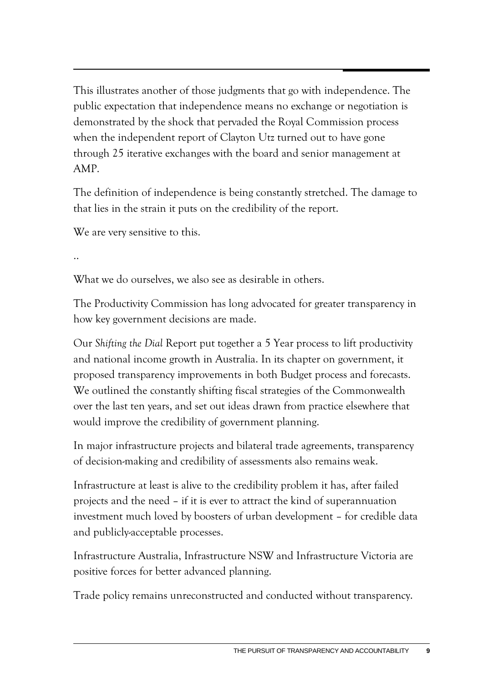This illustrates another of those judgments that go with independence. The public expectation that independence means no exchange or negotiation is demonstrated by the shock that pervaded the Royal Commission process when the independent report of Clayton Utz turned out to have gone through 25 iterative exchanges with the board and senior management at AMP.

The definition of independence is being constantly stretched. The damage to that lies in the strain it puts on the credibility of the report.

We are very sensitive to this.

..

What we do ourselves, we also see as desirable in others.

The Productivity Commission has long advocated for greater transparency in how key government decisions are made.

Our *Shifting the Dial* Report put together a 5 Year process to lift productivity and national income growth in Australia. In its chapter on government, it proposed transparency improvements in both Budget process and forecasts. We outlined the constantly shifting fiscal strategies of the Commonwealth over the last ten years, and set out ideas drawn from practice elsewhere that would improve the credibility of government planning.

In major infrastructure projects and bilateral trade agreements, transparency of decision-making and credibility of assessments also remains weak.

Infrastructure at least is alive to the credibility problem it has, after failed projects and the need – if it is ever to attract the kind of superannuation investment much loved by boosters of urban development – for credible data and publicly-acceptable processes.

Infrastructure Australia, Infrastructure NSW and Infrastructure Victoria are positive forces for better advanced planning.

Trade policy remains unreconstructed and conducted without transparency.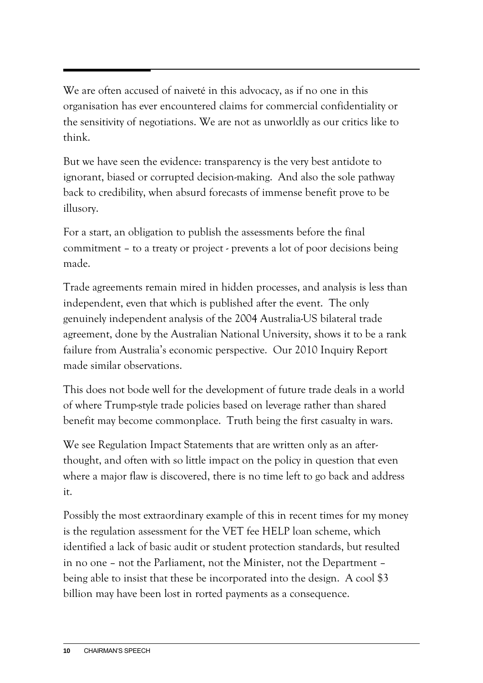We are often accused of naiveté in this advocacy, as if no one in this organisation has ever encountered claims for commercial confidentiality or the sensitivity of negotiations. We are not as unworldly as our critics like to think.

But we have seen the evidence: transparency is the very best antidote to ignorant, biased or corrupted decision-making. And also the sole pathway back to credibility, when absurd forecasts of immense benefit prove to be illusory.

For a start, an obligation to publish the assessments before the final commitment – to a treaty or project - prevents a lot of poor decisions being made.

Trade agreements remain mired in hidden processes, and analysis is less than independent, even that which is published after the event. The only genuinely independent analysis of the 2004 Australia-US bilateral trade agreement, done by the Australian National University, shows it to be a rank failure from Australia's economic perspective. Our 2010 Inquiry Report made similar observations.

This does not bode well for the development of future trade deals in a world of where Trump-style trade policies based on leverage rather than shared benefit may become commonplace. Truth being the first casualty in wars.

We see Regulation Impact Statements that are written only as an afterthought, and often with so little impact on the policy in question that even where a major flaw is discovered, there is no time left to go back and address it.

Possibly the most extraordinary example of this in recent times for my money is the regulation assessment for the VET fee HELP loan scheme, which identified a lack of basic audit or student protection standards, but resulted in no one – not the Parliament, not the Minister, not the Department – being able to insist that these be incorporated into the design. A cool \$3 billion may have been lost in rorted payments as a consequence.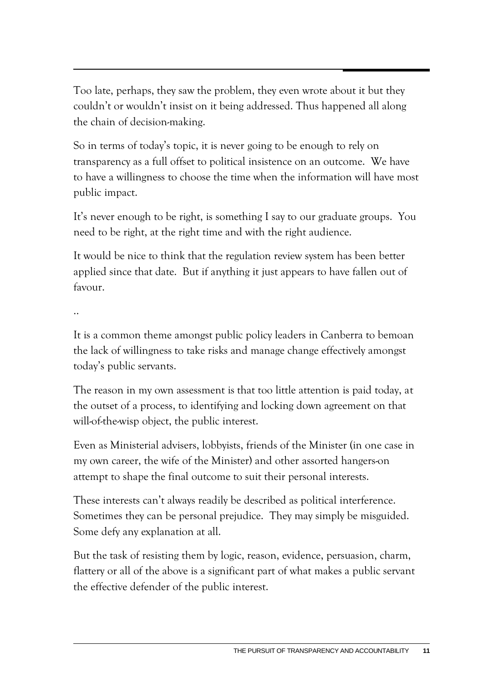Too late, perhaps, they saw the problem, they even wrote about it but they couldn't or wouldn't insist on it being addressed. Thus happened all along the chain of decision-making.

So in terms of today's topic, it is never going to be enough to rely on transparency as a full offset to political insistence on an outcome. We have to have a willingness to choose the time when the information will have most public impact.

It's never enough to be right, is something I say to our graduate groups. You need to be right, at the right time and with the right audience.

It would be nice to think that the regulation review system has been better applied since that date. But if anything it just appears to have fallen out of favour.

..

It is a common theme amongst public policy leaders in Canberra to bemoan the lack of willingness to take risks and manage change effectively amongst today's public servants.

The reason in my own assessment is that too little attention is paid today, at the outset of a process, to identifying and locking down agreement on that will-of-the-wisp object, the public interest.

Even as Ministerial advisers, lobbyists, friends of the Minister (in one case in my own career, the wife of the Minister) and other assorted hangers-on attempt to shape the final outcome to suit their personal interests.

These interests can't always readily be described as political interference. Sometimes they can be personal prejudice. They may simply be misguided. Some defy any explanation at all.

But the task of resisting them by logic, reason, evidence, persuasion, charm, flattery or all of the above is a significant part of what makes a public servant the effective defender of the public interest.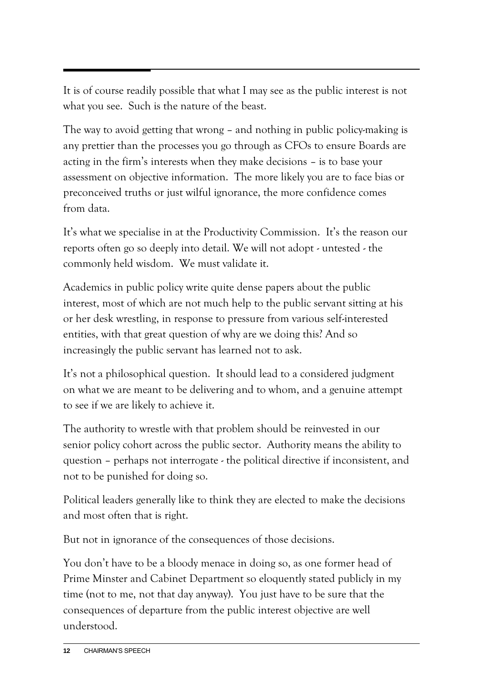It is of course readily possible that what I may see as the public interest is not what you see. Such is the nature of the beast.

The way to avoid getting that wrong – and nothing in public policy-making is any prettier than the processes you go through as CFOs to ensure Boards are acting in the firm's interests when they make decisions – is to base your assessment on objective information. The more likely you are to face bias or preconceived truths or just wilful ignorance, the more confidence comes from data.

It's what we specialise in at the Productivity Commission. It's the reason our reports often go so deeply into detail. We will not adopt - untested - the commonly held wisdom. We must validate it.

Academics in public policy write quite dense papers about the public interest, most of which are not much help to the public servant sitting at his or her desk wrestling, in response to pressure from various self-interested entities, with that great question of why are we doing this? And so increasingly the public servant has learned not to ask.

It's not a philosophical question. It should lead to a considered judgment on what we are meant to be delivering and to whom, and a genuine attempt to see if we are likely to achieve it.

The authority to wrestle with that problem should be reinvested in our senior policy cohort across the public sector. Authority means the ability to question – perhaps not interrogate - the political directive if inconsistent, and not to be punished for doing so.

Political leaders generally like to think they are elected to make the decisions and most often that is right.

But not in ignorance of the consequences of those decisions.

You don't have to be a bloody menace in doing so, as one former head of Prime Minster and Cabinet Department so eloquently stated publicly in my time (not to me, not that day anyway). You just have to be sure that the consequences of departure from the public interest objective are well understood.